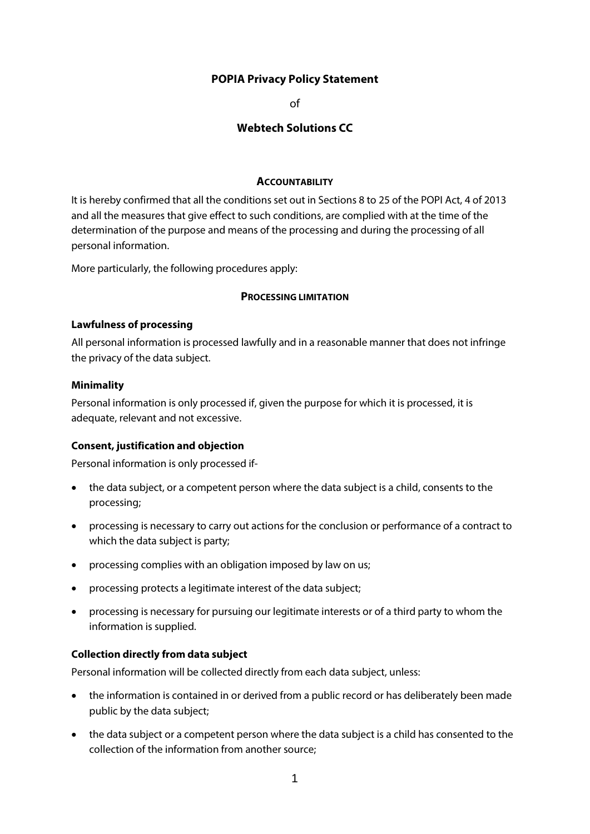# **POPIA Privacy Policy Statement**

of

# **Webtech Solutions CC**

#### **ACCOUNTABILITY**

It is hereby confirmed that all the conditions set out in Sections 8 to 25 of the POPI Act, 4 of 2013 and all the measures that give effect to such conditions, are complied with at the time of the determination of the purpose and means of the processing and during the processing of all personal information.

More particularly, the following procedures apply:

#### **PROCESSING LIMITATION**

#### **Lawfulness of processing**

All personal information is processed lawfully and in a reasonable manner that does not infringe the privacy of the data subject.

#### **Minimality**

Personal information is only processed if, given the purpose for which it is processed, it is adequate, relevant and not excessive.

#### **Consent, justification and objection**

Personal information is only processed if-

- the data subject, or a competent person where the data subject is a child, consents to the processing;
- processing is necessary to carry out actions for the conclusion or performance of a contract to which the data subject is party;
- processing complies with an obligation imposed by law on us;
- processing protects a legitimate interest of the data subject;
- processing is necessary for pursuing our legitimate interests or of a third party to whom the information is supplied.

#### **Collection directly from data subject**

Personal information will be collected directly from each data subject, unless:

- the information is contained in or derived from a public record or has deliberately been made public by the data subject;
- the data subject or a competent person where the data subject is a child has consented to the collection of the information from another source;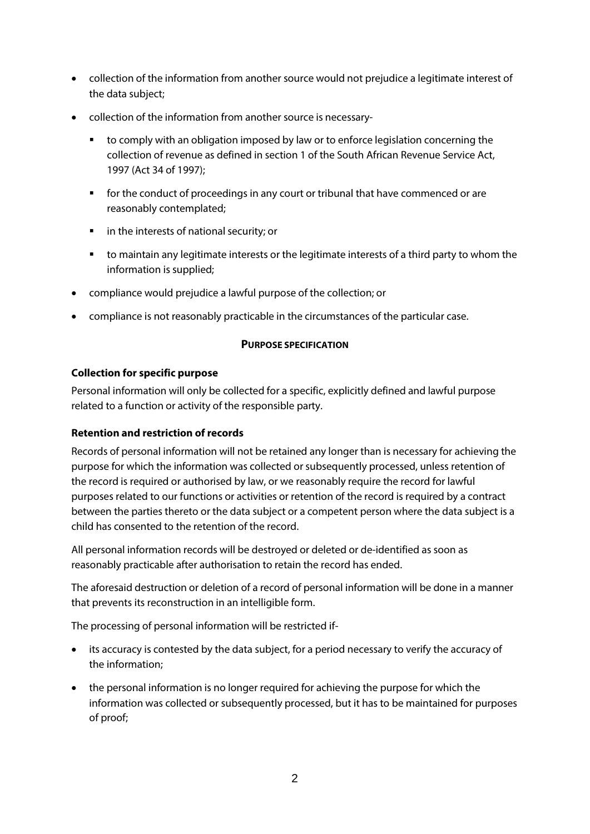- collection of the information from another source would not prejudice a legitimate interest of the data subject;
- collection of the information from another source is necessary
	- to comply with an obligation imposed by law or to enforce legislation concerning the collection of revenue as defined in section 1 of the South African Revenue Service Act, 1997 (Act 34 of 1997);
	- **for the conduct of proceedings in any court or tribunal that have commenced or are** reasonably contemplated;
	- **F** in the interests of national security; or
	- to maintain any legitimate interests or the legitimate interests of a third party to whom the information is supplied;
- compliance would prejudice a lawful purpose of the collection; or
- compliance is not reasonably practicable in the circumstances of the particular case.

### **PURPOSE SPECIFICATION**

## **Collection for specific purpose**

Personal information will only be collected for a specific, explicitly defined and lawful purpose related to a function or activity of the responsible party.

### **Retention and restriction of records**

Records of personal information will not be retained any longer than is necessary for achieving the purpose for which the information was collected or subsequently processed, unless retention of the record is required or authorised by law, or we reasonably require the record for lawful purposes related to our functions or activities or retention of the record is required by a contract between the parties thereto or the data subject or a competent person where the data subject is a child has consented to the retention of the record.

All personal information records will be destroyed or deleted or de-identified as soon as reasonably practicable after authorisation to retain the record has ended.

The aforesaid destruction or deletion of a record of personal information will be done in a manner that prevents its reconstruction in an intelligible form.

The processing of personal information will be restricted if-

- its accuracy is contested by the data subject, for a period necessary to verify the accuracy of the information;
- the personal information is no longer required for achieving the purpose for which the information was collected or subsequently processed, but it has to be maintained for purposes of proof;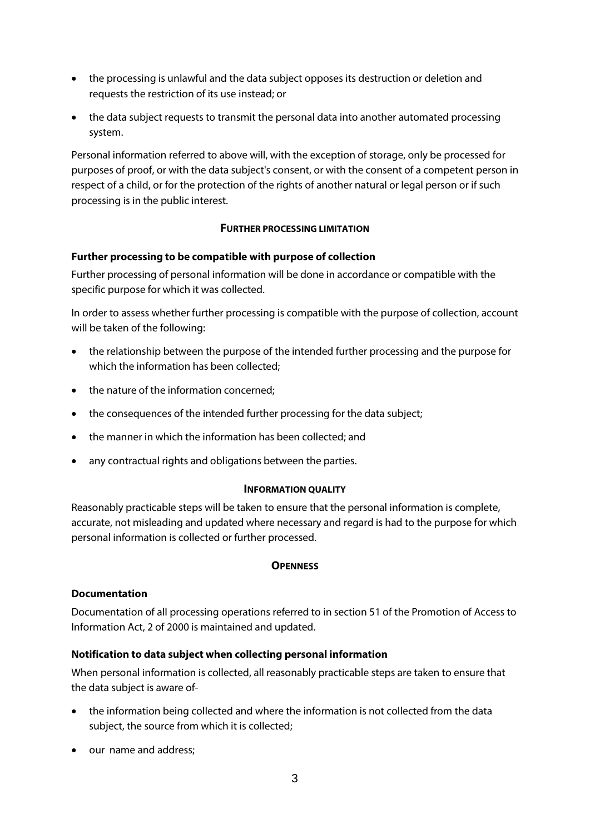- the processing is unlawful and the data subject opposes its destruction or deletion and requests the restriction of its use instead; or
- the data subject requests to transmit the personal data into another automated processing system.

Personal information referred to above will, with the exception of storage, only be processed for purposes of proof, or with the data subject's consent, or with the consent of a competent person in respect of a child, or for the protection of the rights of another natural or legal person or if such processing is in the public interest.

## **FURTHER PROCESSING LIMITATION**

### **Further processing to be compatible with purpose of collection**

Further processing of personal information will be done in accordance or compatible with the specific purpose for which it was collected.

In order to assess whether further processing is compatible with the purpose of collection, account will be taken of the following:

- the relationship between the purpose of the intended further processing and the purpose for which the information has been collected;
- the nature of the information concerned:
- the consequences of the intended further processing for the data subject;
- the manner in which the information has been collected; and
- any contractual rights and obligations between the parties.

### **INFORMATION QUALITY**

Reasonably practicable steps will be taken to ensure that the personal information is complete, accurate, not misleading and updated where necessary and regard is had to the purpose for which personal information is collected or further processed.

### **OPENNESS**

### **Documentation**

Documentation of all processing operations referred to in section 51 of the Promotion of Access to Information Act, 2 of 2000 is maintained and updated.

### **Notification to data subject when collecting personal information**

When personal information is collected, all reasonably practicable steps are taken to ensure that the data subject is aware of-

- the information being collected and where the information is not collected from the data subject, the source from which it is collected;
- our name and address;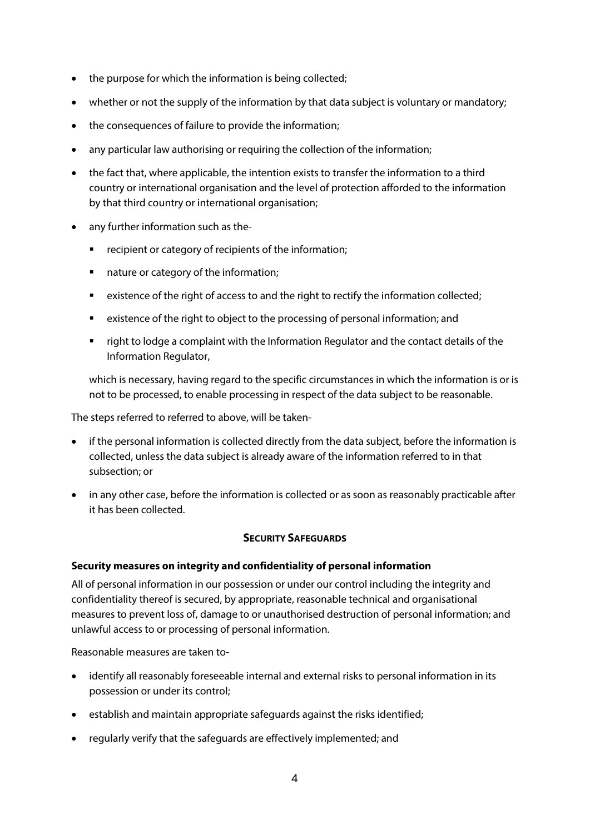- the purpose for which the information is being collected;
- whether or not the supply of the information by that data subject is voluntary or mandatory;
- the consequences of failure to provide the information:
- any particular law authorising or requiring the collection of the information;
- the fact that, where applicable, the intention exists to transfer the information to a third country or international organisation and the level of protection afforded to the information by that third country or international organisation;
- any further information such as the-
	- **•** recipient or category of recipients of the information;
	- nature or category of the information;
	- existence of the right of access to and the right to rectify the information collected;
	- existence of the right to object to the processing of personal information; and
	- right to lodge a complaint with the Information Regulator and the contact details of the Information Regulator,

which is necessary, having regard to the specific circumstances in which the information is or is not to be processed, to enable processing in respect of the data subject to be reasonable.

The steps referred to referred to above, will be taken-

- if the personal information is collected directly from the data subject, before the information is collected, unless the data subject is already aware of the information referred to in that subsection; or
- in any other case, before the information is collected or as soon as reasonably practicable after it has been collected.

### **SECURITY SAFEGUARDS**

### **Security measures on integrity and confidentiality of personal information**

All of personal information in our possession or under our control including the integrity and confidentiality thereof is secured, by appropriate, reasonable technical and organisational measures to prevent loss of, damage to or unauthorised destruction of personal information; and unlawful access to or processing of personal information.

Reasonable measures are taken to-

- identify all reasonably foreseeable internal and external risks to personal information in its possession or under its control;
- establish and maintain appropriate safeguards against the risks identified;
- regularly verify that the safeguards are effectively implemented; and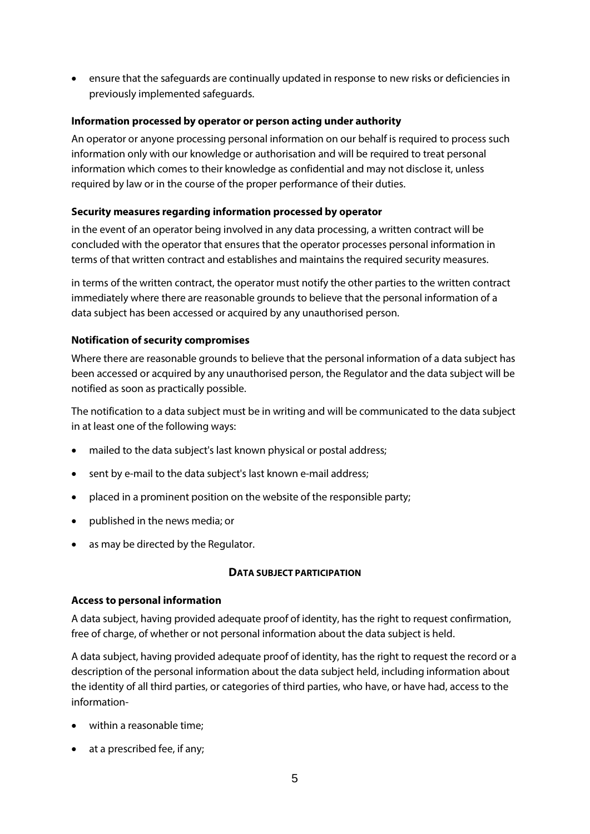• ensure that the safeguards are continually updated in response to new risks or deficiencies in previously implemented safeguards.

## **Information processed by operator or person acting under authority**

An operator or anyone processing personal information on our behalf is required to process such information only with our knowledge or authorisation and will be required to treat personal information which comes to their knowledge as confidential and may not disclose it, unless required by law or in the course of the proper performance of their duties.

## **Security measures regarding information processed by operator**

in the event of an operator being involved in any data processing, a written contract will be concluded with the operator that ensures that the operator processes personal information in terms of that written contract and establishes and maintains the required security measures.

in terms of the written contract, the operator must notify the other parties to the written contract immediately where there are reasonable grounds to believe that the personal information of a data subject has been accessed or acquired by any unauthorised person.

## **Notification of security compromises**

Where there are reasonable grounds to believe that the personal information of a data subject has been accessed or acquired by any unauthorised person, the Regulator and the data subject will be notified as soon as practically possible.

The notification to a data subject must be in writing and will be communicated to the data subject in at least one of the following ways:

- mailed to the data subject's last known physical or postal address;
- sent by e-mail to the data subject's last known e-mail address;
- placed in a prominent position on the website of the responsible party;
- published in the news media; or
- as may be directed by the Regulator.

### **DATA SUBJECT PARTICIPATION**

### **Access to personal information**

A data subject, having provided adequate proof of identity, has the right to request confirmation, free of charge, of whether or not personal information about the data subject is held.

A data subject, having provided adequate proof of identity, has the right to request the record or a description of the personal information about the data subject held, including information about the identity of all third parties, or categories of third parties, who have, or have had, access to the information-

- within a reasonable time;
- at a prescribed fee, if any;